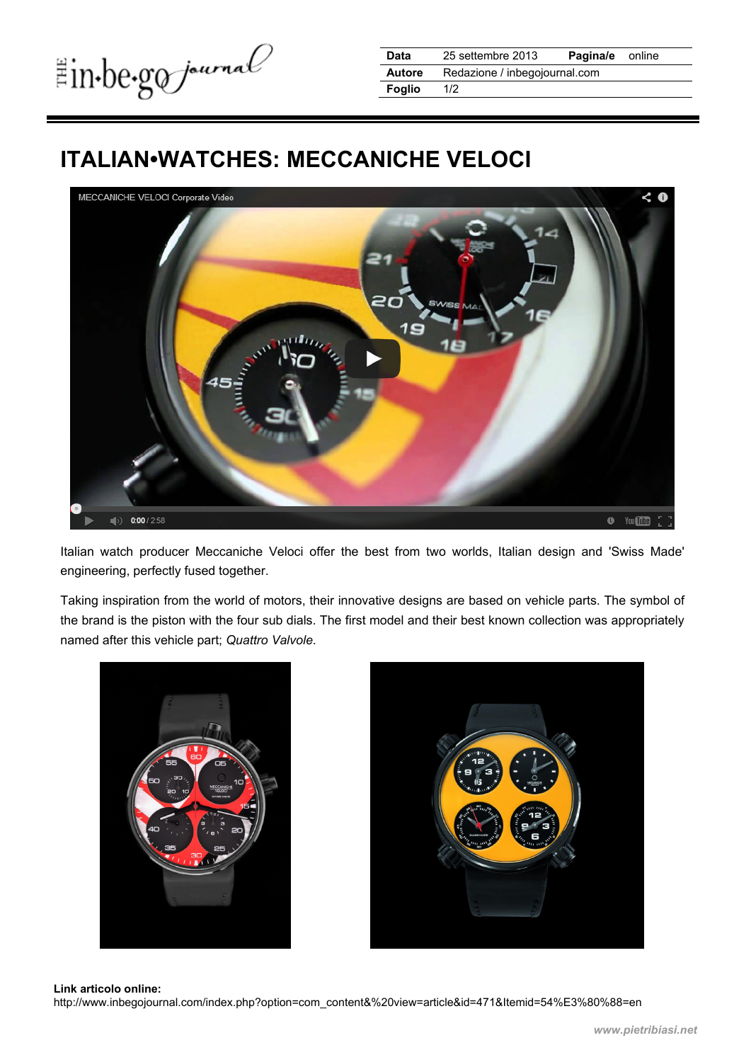## **ITALIAN•WATCHES: MECCANICHE VELOCI**



Italian watch producer Meccaniche Veloci offer the best from two worlds, Italian design and 'Swiss Made' engineering, perfectly fused together.

Taking inspiration from the world of motors, their innovative designs are based on vehicle parts. The symbol of the brand is the piston with the four sub dials. The first model and their best known collection was appropriately named after this vehicle part; *Quattro Valvole*.